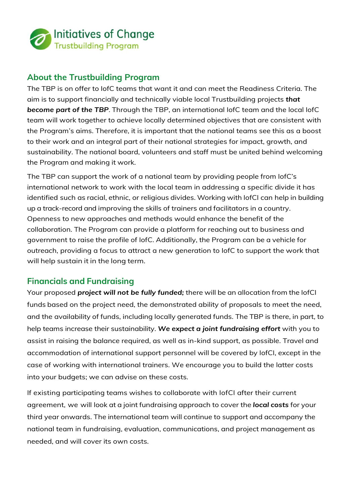

## **About the Trustbuilding Program**

The TBP is on offer to IofC teams that want it and can meet the Readiness Criteria. The aim is to support financially and technically viable local Trustbuilding projects *that become part of the TBP*. Through the TBP, an international IofC team and the local IofC team will work together to achieve locally determined objectives that are consistent with the Program's aims. Therefore, it is important that the national teams see this as a boost to their work and an integral part of their national strategies for impact, growth, and sustainability. The national board, volunteers and staff must be united behind welcoming the Program and making it work.

The TBP can support the work of a national team by providing people from IofC's international network to work with the local team in addressing a specific divide it has identified such as racial, ethnic, or religious divides. Working with IofCI can help in building up a track-record and improving the skills of trainers and facilitators in a country. Openness to new approaches and methods would enhance the benefit of the collaboration. The Program can provide a platform for reaching out to business and government to raise the profile of IofC. Additionally, the Program can be a vehicle for outreach, providing a focus to attract a new generation to IofC to support the work that will help sustain it in the long term.

## **Financials and Fundraising**

Your proposed *project will not be fully funded;* there will be an allocation from the IofCI funds based on the project need, the demonstrated ability of proposals to meet the need, and the availability of funds, including locally generated funds. The TBP is there, in part, to help teams increase their sustainability. *We expect a joint fundraising effort* with you to assist in raising the balance required, as well as in-kind support, as possible. Travel and accommodation of international support personnel will be covered by IofCI, except in the case of working with international trainers. We encourage you to build the latter costs into your budgets; we can advise on these costs.

If existing participating teams wishes to collaborate with IofCI after their current agreement, we will look at a joint fundraising approach to cover the *local costs* for your third year onwards. The international team will continue to support and accompany the national team in fundraising, evaluation, communications, and project management as needed, and will cover its own costs.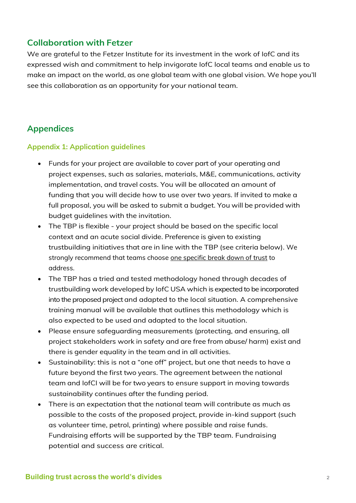# **Collaboration with Fetzer**

We are grateful to the Fetzer Institute for its investment in the work of IofC and its expressed wish and commitment to help invigorate IofC local teams and enable us to make an impact on the world, as one global team with one global vision. We hope you'll see this collaboration as an opportunity for your national team.

# **Appendices**

#### **Appendix 1: Application guidelines**

- Funds for your project are available to cover part of your operating and project expenses, such as salaries, materials, M&E, communications, activity implementation, and travel costs. You will be allocated an amount of funding that you will decide how to use over two years. If invited to make a full proposal, you will be asked to submit a budget. You will be provided with budget guidelines with the invitation.
- The TBP is flexible your project should be based on the specific local context and an acute social divide. Preference is given to existing trustbuilding initiatives that are in line with the TBP (see criteria below). We strongly recommend that teams choose one specific break down of trust to address.
- The TBP has a tried and tested methodology honed through decades of trustbuilding work developed by IofC USA which is expected to be incorporated into the proposed project and adapted to the local situation. A comprehensive training manual will be available that outlines this methodology which is also expected to be used and adapted to the local situation.
- Please ensure safeguarding measurements (protecting, and ensuring, all project stakeholders work in safety and are free from abuse/ harm) exist and there is gender equality in the team and in all activities.
- Sustainability: this is not a "one off" project, but one that needs to have a future beyond the first two years. The agreement between the national team and IofCI will be for two years to ensure support in moving towards sustainability continues after the funding period.
- There is an expectation that the national team will contribute as much as possible to the costs of the proposed project, provide in-kind support (such as volunteer time, petrol, printing) where possible and raise funds. Fundraising efforts will be supported by the TBP team. Fundraising potential and success are critical.